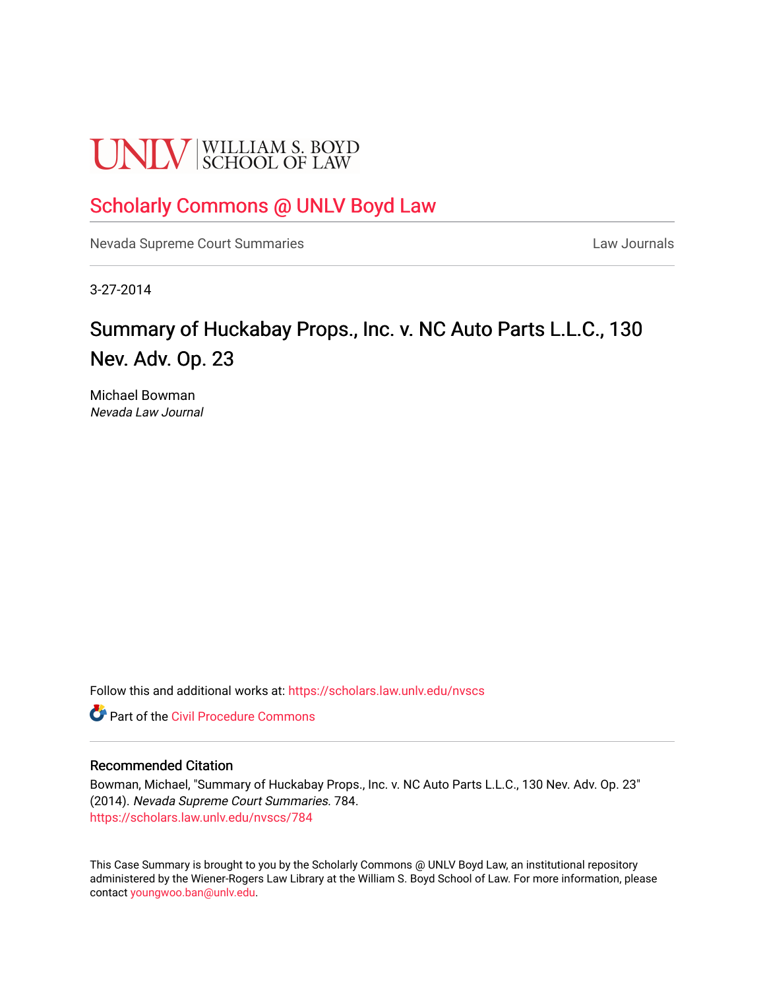# **UNLV** SCHOOL OF LAW

# [Scholarly Commons @ UNLV Boyd Law](https://scholars.law.unlv.edu/)

[Nevada Supreme Court Summaries](https://scholars.law.unlv.edu/nvscs) **Law Journals** Law Journals

3-27-2014

# Summary of Huckabay Props., Inc. v. NC Auto Parts L.L.C., 130 Nev. Adv. Op. 23

Michael Bowman Nevada Law Journal

Follow this and additional works at: [https://scholars.law.unlv.edu/nvscs](https://scholars.law.unlv.edu/nvscs?utm_source=scholars.law.unlv.edu%2Fnvscs%2F784&utm_medium=PDF&utm_campaign=PDFCoverPages)

**C** Part of the Civil Procedure Commons

#### Recommended Citation

Bowman, Michael, "Summary of Huckabay Props., Inc. v. NC Auto Parts L.L.C., 130 Nev. Adv. Op. 23" (2014). Nevada Supreme Court Summaries. 784. [https://scholars.law.unlv.edu/nvscs/784](https://scholars.law.unlv.edu/nvscs/784?utm_source=scholars.law.unlv.edu%2Fnvscs%2F784&utm_medium=PDF&utm_campaign=PDFCoverPages)

This Case Summary is brought to you by the Scholarly Commons @ UNLV Boyd Law, an institutional repository administered by the Wiener-Rogers Law Library at the William S. Boyd School of Law. For more information, please contact [youngwoo.ban@unlv.edu](mailto:youngwoo.ban@unlv.edu).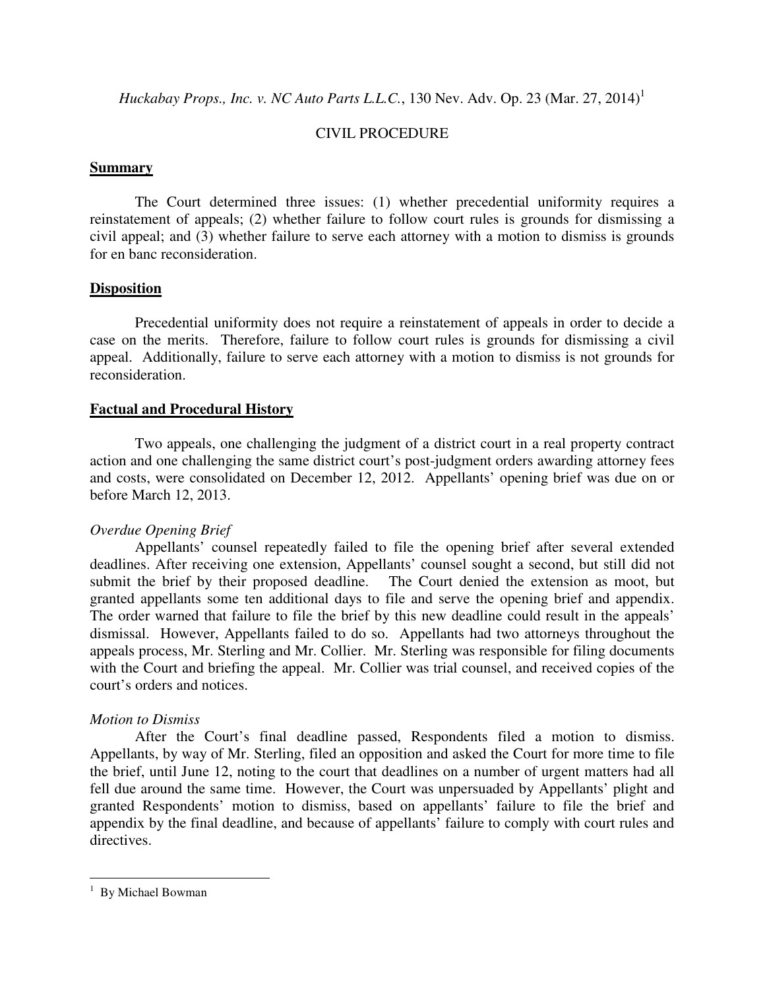*Huckabay Props., Inc. v. NC Auto Parts L.L.C.*, 130 Nev. Adv. Op. 23 (Mar. 27, 2014)<sup>1</sup>

# CIVIL PROCEDURE

#### **Summary**

 The Court determined three issues: (1) whether precedential uniformity requires a reinstatement of appeals; (2) whether failure to follow court rules is grounds for dismissing a civil appeal; and (3) whether failure to serve each attorney with a motion to dismiss is grounds for en banc reconsideration.

# **Disposition**

 Precedential uniformity does not require a reinstatement of appeals in order to decide a case on the merits. Therefore, failure to follow court rules is grounds for dismissing a civil appeal. Additionally, failure to serve each attorney with a motion to dismiss is not grounds for reconsideration.

#### **Factual and Procedural History**

 Two appeals, one challenging the judgment of a district court in a real property contract action and one challenging the same district court's post-judgment orders awarding attorney fees and costs, were consolidated on December 12, 2012. Appellants' opening brief was due on or before March 12, 2013.

# *Overdue Opening Brief*

 Appellants' counsel repeatedly failed to file the opening brief after several extended deadlines. After receiving one extension, Appellants' counsel sought a second, but still did not submit the brief by their proposed deadline. The Court denied the extension as moot, but granted appellants some ten additional days to file and serve the opening brief and appendix. The order warned that failure to file the brief by this new deadline could result in the appeals' dismissal. However, Appellants failed to do so. Appellants had two attorneys throughout the appeals process, Mr. Sterling and Mr. Collier. Mr. Sterling was responsible for filing documents with the Court and briefing the appeal. Mr. Collier was trial counsel, and received copies of the court's orders and notices.

#### *Motion to Dismiss*

 After the Court's final deadline passed, Respondents filed a motion to dismiss. Appellants, by way of Mr. Sterling, filed an opposition and asked the Court for more time to file the brief, until June 12, noting to the court that deadlines on a number of urgent matters had all fell due around the same time. However, the Court was unpersuaded by Appellants' plight and granted Respondents' motion to dismiss, based on appellants' failure to file the brief and appendix by the final deadline, and because of appellants' failure to comply with court rules and directives.

 $\overline{a}$ 

<sup>&</sup>lt;sup>1</sup> By Michael Bowman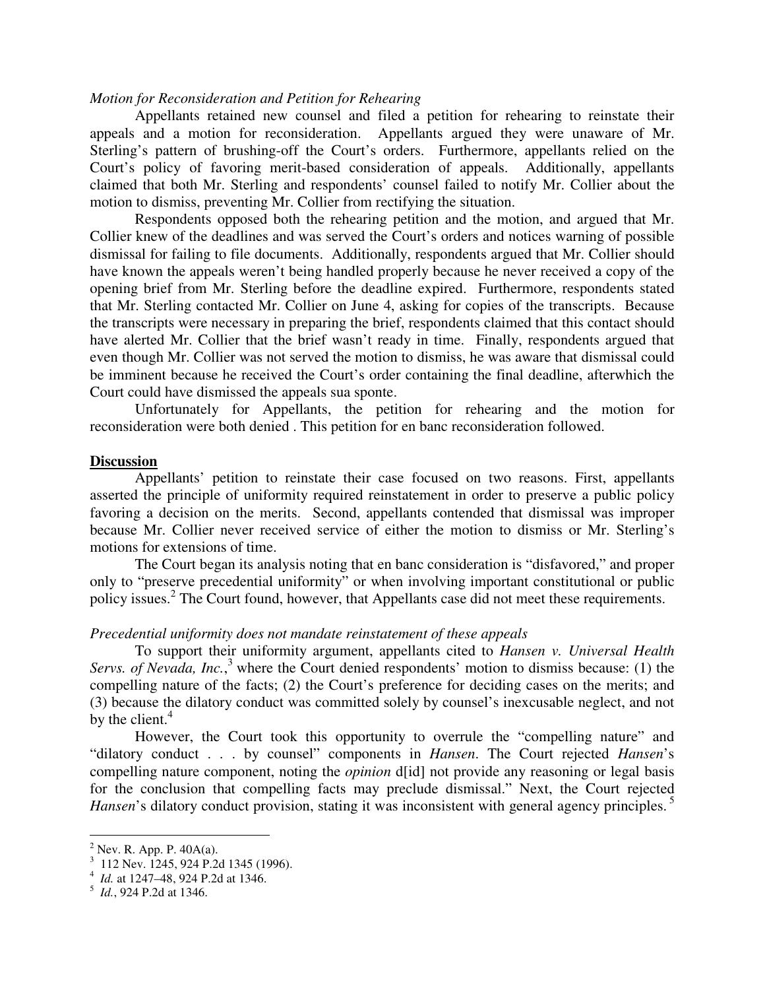#### *Motion for Reconsideration and Petition for Rehearing*

 Appellants retained new counsel and filed a petition for rehearing to reinstate their appeals and a motion for reconsideration. Appellants argued they were unaware of Mr. Sterling's pattern of brushing-off the Court's orders. Furthermore, appellants relied on the Court's policy of favoring merit-based consideration of appeals. Additionally, appellants claimed that both Mr. Sterling and respondents' counsel failed to notify Mr. Collier about the motion to dismiss, preventing Mr. Collier from rectifying the situation.

 Respondents opposed both the rehearing petition and the motion, and argued that Mr. Collier knew of the deadlines and was served the Court's orders and notices warning of possible dismissal for failing to file documents. Additionally, respondents argued that Mr. Collier should have known the appeals weren't being handled properly because he never received a copy of the opening brief from Mr. Sterling before the deadline expired. Furthermore, respondents stated that Mr. Sterling contacted Mr. Collier on June 4, asking for copies of the transcripts. Because the transcripts were necessary in preparing the brief, respondents claimed that this contact should have alerted Mr. Collier that the brief wasn't ready in time. Finally, respondents argued that even though Mr. Collier was not served the motion to dismiss, he was aware that dismissal could be imminent because he received the Court's order containing the final deadline, afterwhich the Court could have dismissed the appeals sua sponte.

Unfortunately for Appellants, the petition for rehearing and the motion for reconsideration were both denied . This petition for en banc reconsideration followed.

#### **Discussion**

 Appellants' petition to reinstate their case focused on two reasons. First, appellants asserted the principle of uniformity required reinstatement in order to preserve a public policy favoring a decision on the merits. Second, appellants contended that dismissal was improper because Mr. Collier never received service of either the motion to dismiss or Mr. Sterling's motions for extensions of time.

 The Court began its analysis noting that en banc consideration is "disfavored," and proper only to "preserve precedential uniformity" or when involving important constitutional or public policy issues.<sup>2</sup> The Court found, however, that Appellants case did not meet these requirements.

#### *Precedential uniformity does not mandate reinstatement of these appeals*

 To support their uniformity argument, appellants cited to *Hansen v. Universal Health*  Servs. of Nevada, Inc.,<sup>3</sup> where the Court denied respondents' motion to dismiss because: (1) the compelling nature of the facts; (2) the Court's preference for deciding cases on the merits; and (3) because the dilatory conduct was committed solely by counsel's inexcusable neglect, and not by the client. $4$ 

 However, the Court took this opportunity to overrule the "compelling nature" and "dilatory conduct . . . by counsel" components in *Hansen*. The Court rejected *Hansen*'s compelling nature component, noting the *opinion* d[id] not provide any reasoning or legal basis for the conclusion that compelling facts may preclude dismissal." Next, the Court rejected *Hansen*'s dilatory conduct provision, stating it was inconsistent with general agency principles.<sup>5</sup>

 $\overline{a}$ 

 $2^2$  Nev. R. App. P. 40A(a).

<sup>3</sup> 112 Nev. 1245, 924 P.2d 1345 (1996).

<sup>4</sup> *Id.* at 1247–48, 924 P.2d at 1346.

<sup>5</sup> *Id.*, 924 P.2d at 1346.